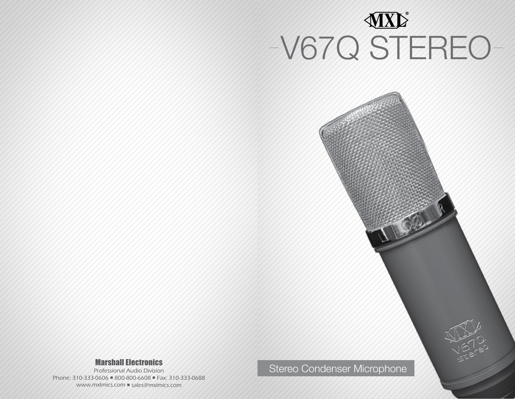

R Courses

## Marshall Electronics

Professional Audio Division Phone: 310-333-0606 800-800-6608 Fax: 310-333-0688 www.mxlmics.com ■ sales@mxlmics.com

Stereo Condenser Microphone